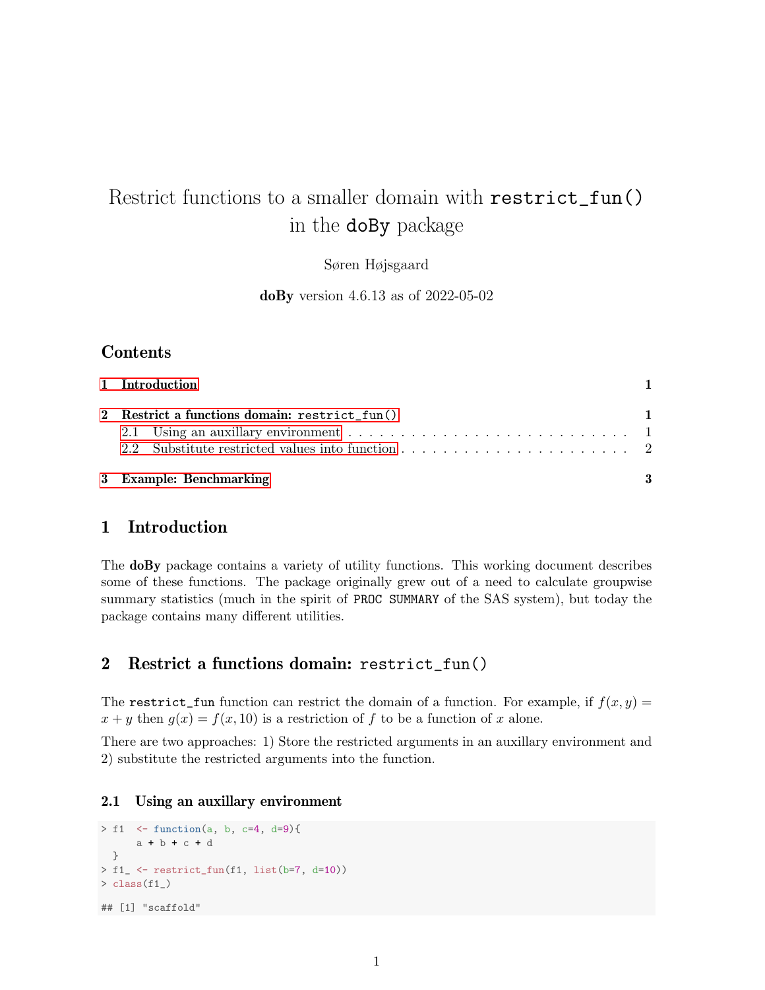# Restrict functions to a smaller domain with restrict\_fun() in the doBy package

Søren Højsgaard

doBy version 4.6.13 as of 2022-05-02

## **Contents**

| 1 Introduction                                |  |
|-----------------------------------------------|--|
| 2 Restrict a functions domain: restrict_fun() |  |
| 3 Example: Benchmarking                       |  |

### <span id="page-0-0"></span>1 Introduction

The doBy package contains a variety of utility functions. This working document describes some of these functions. The package originally grew out of a need to calculate groupwise summary statistics (much in the spirit of PROC SUMMARY of the SAS system), but today the package contains many different utilities.

#### <span id="page-0-1"></span>2 Restrict a functions domain: restrict\_fun()

The restrict\_fun function can restrict the domain of a function. For example, if  $f(x, y) =$  $x + y$  then  $g(x) = f(x, 10)$  is a restriction of f to be a function of x alone.

There are two approaches: 1) Store the restricted arguments in an auxillary environment and 2) substitute the restricted arguments into the function.

#### <span id="page-0-2"></span>2.1 Using an auxillary environment

```
> f1 <- function(a, b, c=4, d=9){
      a + b + c + d
 }
> f1_ <- restrict_fun(f1, list(b=7, d=10))
> class(f1_)
## [1] "scaffold"
```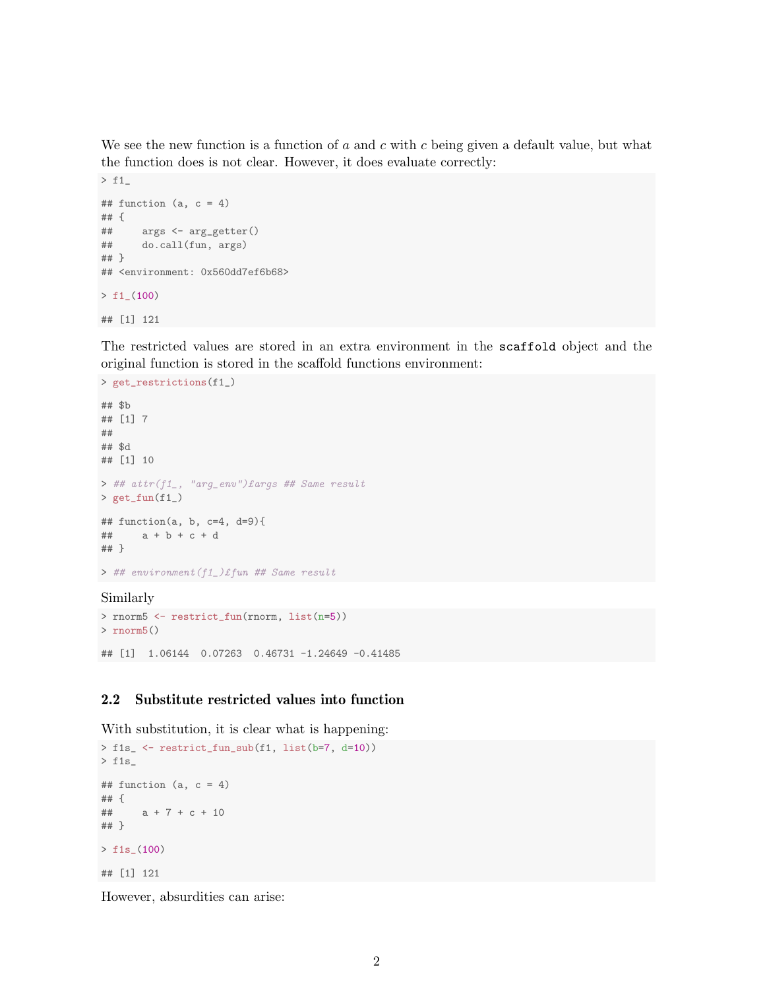We see the new function is a function of  $a$  and  $c$  with  $c$  being given a default value, but what the function does is not clear. However, it does evaluate correctly:

```
> f1_
## function (a, c = 4)## {
## args <- arg_getter()
## do.call(fun, args)
## }
## <environment: 0x560dd7ef6b68>
> f1_-(100)## [1] 121
```
The restricted values are stored in an extra environment in the scaffold object and the original function is stored in the scaffold functions environment:

```
> get_restrictions(f1_)
## $b
## [1] 7
##
## $d
## [1] 10
> ## attr(f1_, "arg_env")£args ## Same result
> get_fun(f1_)
## function(a, b, c=4, d=9){
## a + b + c + d
## }
> ## environment(f1_)£fun ## Same result
Similarly
```

```
> rnorm5 <- restrict_fun(rnorm, list(n=5))
> rnorm5()
## [1] 1.06144 0.07263 0.46731 -1.24649 -0.41485
```
#### <span id="page-1-0"></span>2.2 Substitute restricted values into function

With substitution, it is clear what is happening:

```
> f1s_ <- restrict_fun_sub(f1, list(b=7, d=10))
> f1s_
## function (a, c = 4)## {
## a + 7 + c + 10
## }
> f1s_(100)
## [1] 121
```
However, absurdities can arise: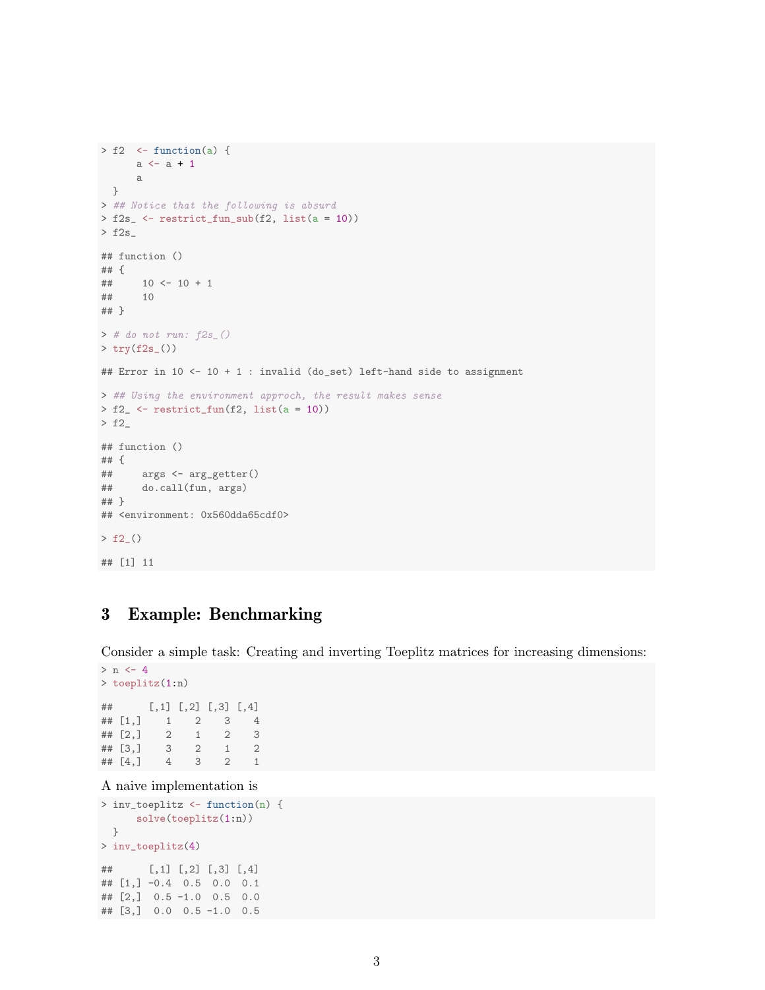```
> f2 <- function(a) {
      a \leftarrow a + 1a
}
> ## Notice that the following is absurd
> f2s_ <- restrict_fun_sub(f2, list(a = 10))
> f2s_
## function ()
## {
## 10 <- 10 + 1
## 10
## }
> # do not run: f2s<sub>-</sub>()
> try(f2s_())
## Error in 10 <- 10 + 1 : invalid (do_set) left-hand side to assignment
> ## Using the environment approch, the result makes sense
> f2_ <- restrict_fun(f2, list(a = 10))
> f2## function ()
## {
      args <- arg_getter()
## do.call(fun, args)
## }
## <environment: 0x560dda65cdf0>
> f2_()
## [1] 11
```
# <span id="page-2-0"></span>3 Example: Benchmarking

Consider a simple task: Creating and inverting Toeplitz matrices for increasing dimensions:

```
> n < -4> toeplitz(1:n)
## [,1] [,2] [,3] [,4]
## [1,] 1 2 3 4
## [2,] 2 1 2 3
\begin{array}{ccccccccc}\n# & [3,] & 3 & 2 & 1 & 2 \\
# & [4,] & 4 & 3 & 2 & 1\n\end{array}## [4,] 4 3 2 1
```
A naive implementation is

```
> inv_toeplitz <- function(n) {
     solve(toeplitz(1:n))
 }
> inv_toeplitz(4)
## [,1] [,2] [,3] [,4]
## [1,] -0.4 0.5 0.0 0.1
## [2,] 0.5 -1.0 0.5 0.0
## [3,] 0.0 0.5 -1.0 0.5
```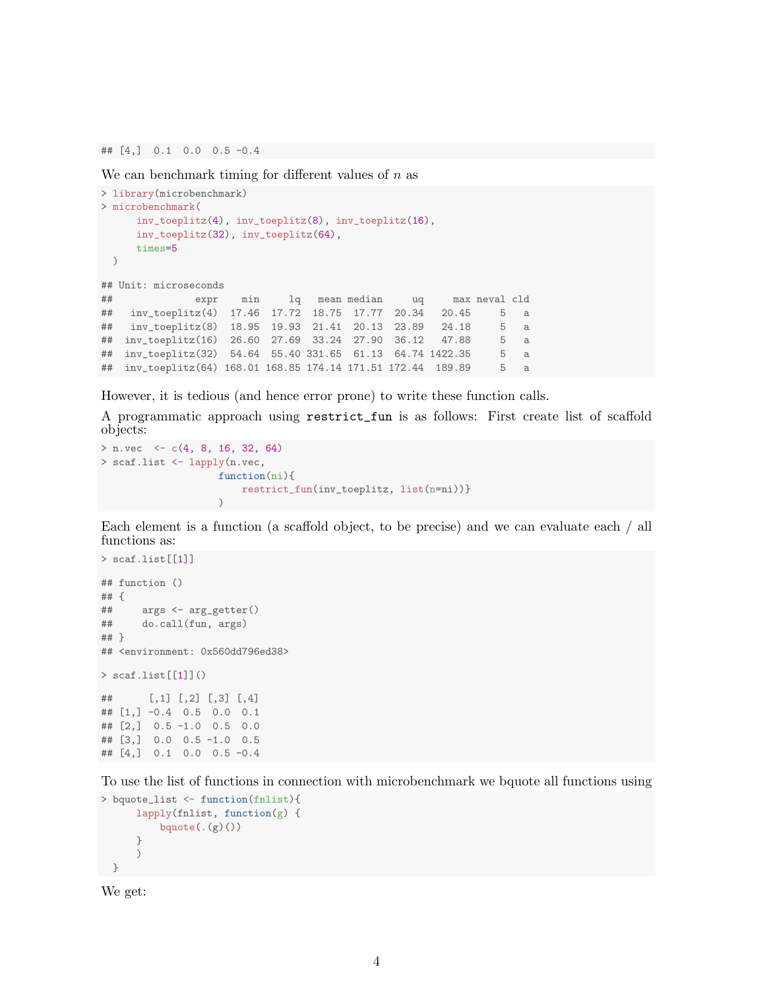## [4,] 0.1 0.0 0.5 -0.4

We can benchmark timing for different values of  $n$  as

```
> library(microbenchmark)
> microbenchmark(
     inv_toeplitz(4), inv_toeplitz(8), inv_toeplitz(16),
     inv_toeplitz(32), inv_toeplitz(64),
     times=5
 )
## Unit: microseconds
## expr min lq mean median uq max neval cld
## inv_toeplitz(4) 17.46 17.72 18.75 17.77 20.34 20.45 5 a
## inv_toeplitz(8) 18.95 19.93 21.41 20.13 23.89 24.18 5 a
## inv_toeplitz(16) 26.60 27.69 33.24 27.90 36.12 47.88 5 a
## inv_toeplitz(32) 54.64 55.40 331.65 61.13 64.74 1422.35 5 a
## inv_toeplitz(64) 168.01 168.85 174.14 171.51 172.44 189.89 5 a
```
However, it is tedious (and hence error prone) to write these function calls.

A programmatic approach using restrict\_fun is as follows: First create list of scaffold objects:

```
> n.vec <- c(4, 8, 16, 32, 64)
> scaf.list <- lapply(n.vec,
                     function(ni){
                         restrict_fun(inv_toeplitz, list(n=ni))}
                     \lambda
```
Each element is a function (a scaffold object, to be precise) and we can evaluate each / all functions as:

```
> scaf.list[[1]]
## function ()
## {
## args <- arg_getter()
## do.call(fun, args)
## }
## <environment: 0x560dd796ed38>
> scaf.list[[1]]()## [,1] [,2] [,3] [,4]
## [1,] -0.4 0.5 0.0 0.1
## [2,] 0.5 -1.0 0.5 0.0
## [3,] 0.0 0.5 -1.0 0.5
## [4,] 0.1 0.0 0.5 -0.4
```
To use the list of functions in connection with microbenchmark we bquote all functions using

```
> bquote_list <- function(fnlist){
      lapply(fnlist, function(g) {
          bquote(. (g)())}
      )
 }
```
We get: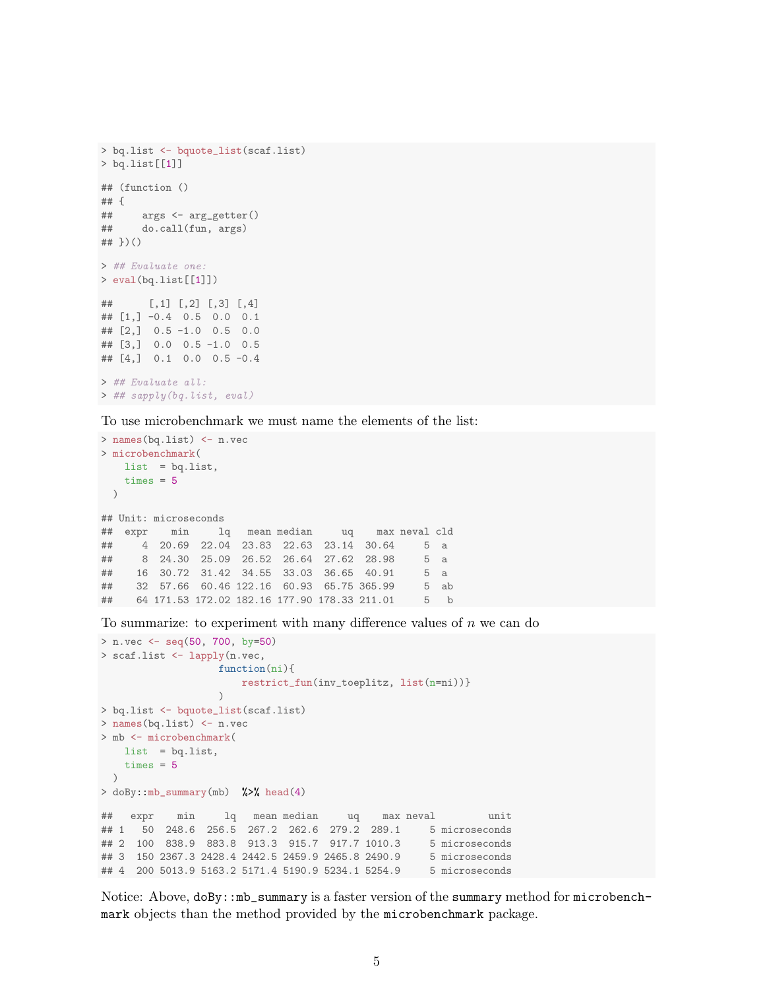```
> bq.list <- bquote_list(scaf.list)
> bq.list[[1]]
## (function ()
## {
## args <- arg_getter()
## do.call(fun, args)
## })()
> ## Evaluate one:
> eval(bq.list[[1]])
## [,1] [,2] [,3] [,4]
## [1,] -0.4 0.5 0.0 0.1
## [2,] 0.5 -1.0 0.5 0.0
## [3,] 0.0 0.5 -1.0 0.5
## [4,] 0.1 0.0 0.5 -0.4
> ## Evaluate all:
> ## sapply(bq.list, eval)
```
To use microbenchmark we must name the elements of the list:

```
> names(bq.list) <- n.vec
> microbenchmark(
   list = bq.list,
   times = 5)
## Unit: microseconds
## expr min lq mean median uq max neval cld
## 4 20.69 22.04 23.83 22.63 23.14 30.64 5 a
## 8 24.30 25.09 26.52 26.64 27.62 28.98
## 16 30.72 31.42 34.55 33.03 36.65 40.91 5 a
## 32 57.66 60.46 122.16 60.93 65.75 365.99 5 ab
## 64 171.53 172.02 182.16 177.90 178.33 211.01 5 b
```
To summarize: to experiment with many difference values of  $n$  we can do

```
> n.vec <- seq(50, 700, by=50)
> scaf.list <- lapply(n.vec,
                  function(ni){
                     restrict_fun(inv_toeplitz, list(n=ni))}
                  )
> bq.list <- bquote_list(scaf.list)
> names(bq.list) <- n.vec
> mb <- microbenchmark(
   list = bq.list,
   times = 5)
> doBy::mb_summary(mb) %>% head(4)
## expr min lq mean median uq max neval unit
## 1 50 248.6 256.5 267.2 262.6 279.2 289.1 5 microseconds
## 2 100 838.9 883.8 913.3 915.7 917.7 1010.3 5 microseconds
## 3 150 2367.3 2428.4 2442.5 2459.9 2465.8 2490.9
## 4 200 5013.9 5163.2 5171.4 5190.9 5234.1 5254.9 5 microseconds
```
Notice: Above, doBy::mb\_summary is a faster version of the summary method for microbenchmark objects than the method provided by the microbenchmark package.